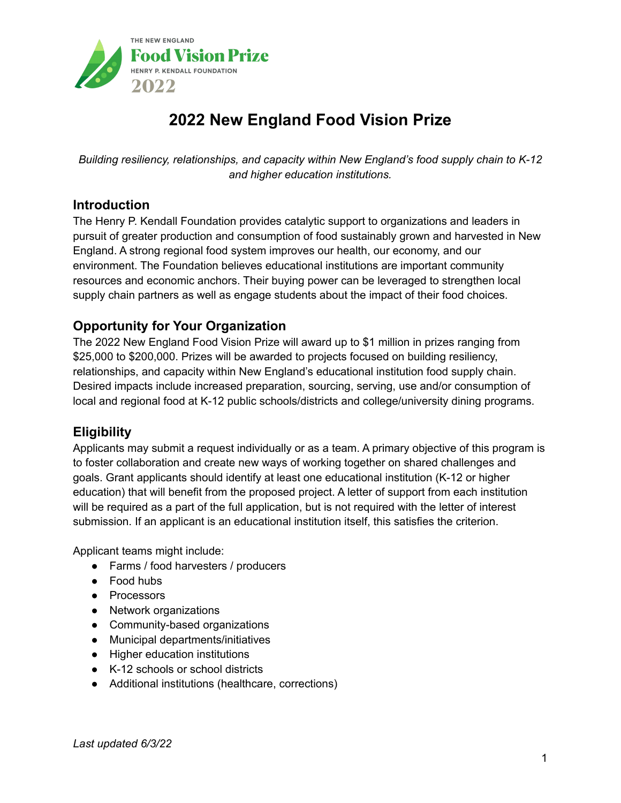

# **2022 New England Food Vision Prize**

*Building resiliency, relationships, and capacity within New England's food supply chain to K-12 and higher education institutions.*

## **Introduction**

The Henry P. Kendall Foundation provides catalytic support to organizations and leaders in pursuit of greater production and consumption of food sustainably grown and harvested in New England. A strong regional food system improves our health, our economy, and our environment. The Foundation believes educational institutions are important community resources and economic anchors. Their buying power can be leveraged to strengthen local supply chain partners as well as engage students about the impact of their food choices.

## **Opportunity for Your Organization**

The 2022 New England Food Vision Prize will award up to \$1 million in prizes ranging from \$25,000 to \$200,000. Prizes will be awarded to projects focused on building resiliency, relationships, and capacity within New England's educational institution food supply chain. Desired impacts include increased preparation, sourcing, serving, use and/or consumption of local and regional food at K-12 public schools/districts and college/university dining programs.

### **Eligibility**

Applicants may submit a request individually or as a team. A primary objective of this program is to foster collaboration and create new ways of working together on shared challenges and goals. Grant applicants should identify at least one educational institution (K-12 or higher education) that will benefit from the proposed project. A letter of support from each institution will be required as a part of the full application, but is not required with the letter of interest submission. If an applicant is an educational institution itself, this satisfies the criterion.

Applicant teams might include:

- Farms / food harvesters / producers
- Food hubs
- Processors
- Network organizations
- Community-based organizations
- Municipal departments/initiatives
- Higher education institutions
- K-12 schools or school districts
- Additional institutions (healthcare, corrections)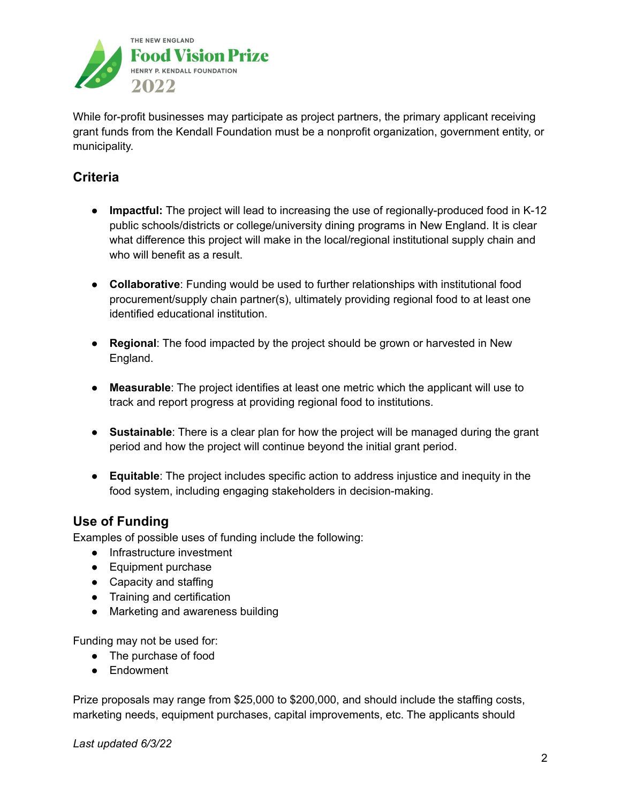

While for-profit businesses may participate as project partners, the primary applicant receiving grant funds from the Kendall Foundation must be a nonprofit organization, government entity, or municipality.

# **Criteria**

- **Impactful:** The project will lead to increasing the use of regionally-produced food in K-12 public schools/districts or college/university dining programs in New England. It is clear what difference this project will make in the local/regional institutional supply chain and who will benefit as a result.
- **Collaborative**: Funding would be used to further relationships with institutional food procurement/supply chain partner(s), ultimately providing regional food to at least one identified educational institution.
- **Regional**: The food impacted by the project should be grown or harvested in New England.
- **Measurable**: The project identifies at least one metric which the applicant will use to track and report progress at providing regional food to institutions.
- **Sustainable**: There is a clear plan for how the project will be managed during the grant period and how the project will continue beyond the initial grant period.
- **Equitable**: The project includes specific action to address injustice and inequity in the food system, including engaging stakeholders in decision-making.

## **Use of Funding**

Examples of possible uses of funding include the following:

- Infrastructure investment
- Equipment purchase
- Capacity and staffing
- Training and certification
- Marketing and awareness building

Funding may not be used for:

- The purchase of food
- Endowment

Prize proposals may range from \$25,000 to \$200,000, and should include the staffing costs, marketing needs, equipment purchases, capital improvements, etc. The applicants should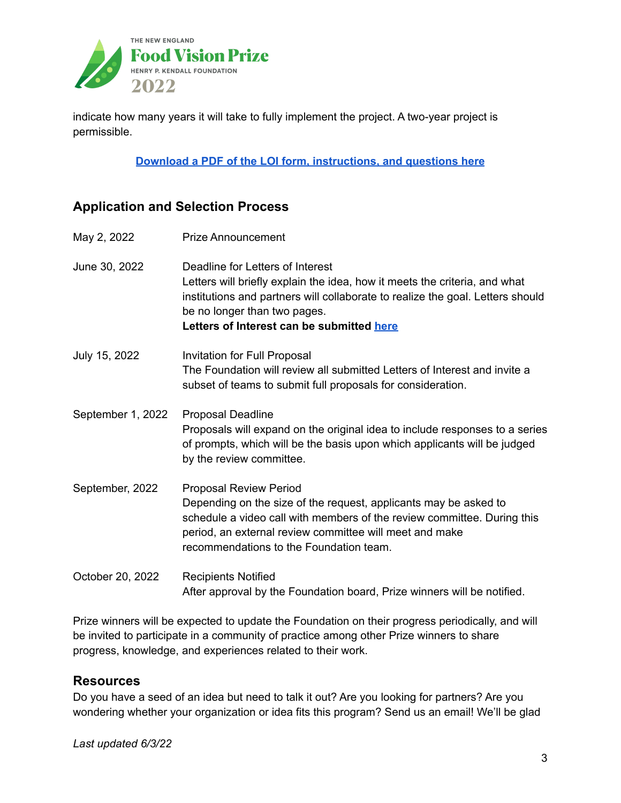

indicate how many years it will take to fully implement the project. A two-year project is permissible.

**Download a PDF of the LOI form, [instructions,](https://www.kendall.org/wp-content/uploads/2022/05/LOI.pdf) and questions here**

## **Application and Selection Process**

May 2, 2022 Prize Announcement June 30, 2022 Deadline for Letters of Interest Letters will briefly explain the idea, how it meets the criteria, and what institutions and partners will collaborate to realize the goal. Letters should be no longer than two pages. **Letters of Interest can be submitted [here](https://www.grantinterface.com/Process/Apply?urlkey=kendall)** July 15, 2022 Invitation for Full Proposal The Foundation will review all submitted Letters of Interest and invite a subset of teams to submit full proposals for consideration. September 1, 2022 Proposal Deadline Proposals will expand on the original idea to include responses to a series of prompts, which will be the basis upon which applicants will be judged by the review committee. September, 2022 Proposal Review Period Depending on the size of the request, applicants may be asked to schedule a video call with members of the review committee. During this period, an external review committee will meet and make recommendations to the Foundation team. October 20, 2022 Recipients Notified After approval by the Foundation board, Prize winners will be notified.

Prize winners will be expected to update the Foundation on their progress periodically, and will be invited to participate in a community of practice among other Prize winners to share progress, knowledge, and experiences related to their work.

### **Resources**

Do you have a seed of an idea but need to talk it out? Are you looking for partners? Are you wondering whether your organization or idea fits this program? Send us an email! We'll be glad

*Last updated 6/3/22*